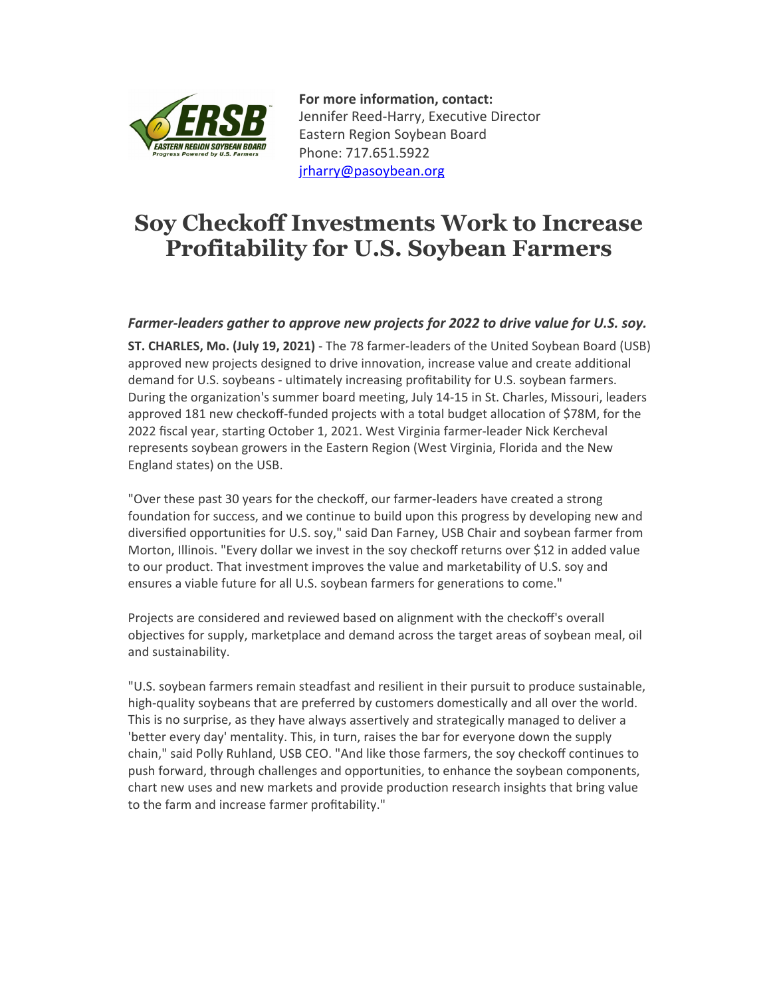

**For more information, contact:** Jennifer Reed‐Harry, Executive Director Eastern Region Soybean Board Phone: 717.651.5922 jrharry@pasoybean.org

## **Soy Checkoff Investments Work to Increase Profitability for U.S. Soybean Farmers**

## *Farmer‐leaders gather to approve new projects for 2022 to drive value for U.S. soy.*

**ST. CHARLES, Mo. (July 19, 2021)** ‐ The 78 farmer‐leaders of the United Soybean Board (USB) approved new projects designed to drive innovation, increase value and create additional demand for U.S. soybeans ‐ ultimately increasing profitability for U.S. soybean farmers. During the organization's summer board meeting, July 14‐15 in St. Charles, Missouri, leaders approved 181 new checkoff‐funded projects with a total budget allocation of \$78M, for the 2022 fiscal year, starting October 1, 2021. West Virginia farmer‐leader Nick Kercheval represents soybean growers in the Eastern Region (West Virginia, Florida and the New England states) on the USB.

"Over these past 30 years for the checkoff, our farmer‐leaders have created a strong foundation for success, and we continue to build upon this progress by developing new and diversified opportunities for U.S. soy," said Dan Farney, USB Chair and soybean farmer from Morton, Illinois. "Every dollar we invest in the soy checkoff returns over \$12 in added value to our product. That investment improves the value and marketability of U.S. soy and ensures a viable future for all U.S. soybean farmers for generations to come."

Projects are considered and reviewed based on alignment with the checkoff's overall objectives for supply, marketplace and demand across the target areas of soybean meal, oil and sustainability.

"U.S. soybean farmers remain steadfast and resilient in their pursuit to produce sustainable, high-quality soybeans that are preferred by customers domestically and all over the world. This is no surprise, as they have always assertively and strategically managed to deliver a 'better every day' mentality. This, in turn, raises the bar for everyone down the supply chain," said Polly Ruhland, USB CEO. "And like those farmers, the soy checkoff continues to push forward, through challenges and opportunities, to enhance the soybean components, chart new uses and new markets and provide production research insights that bring value to the farm and increase farmer profitability."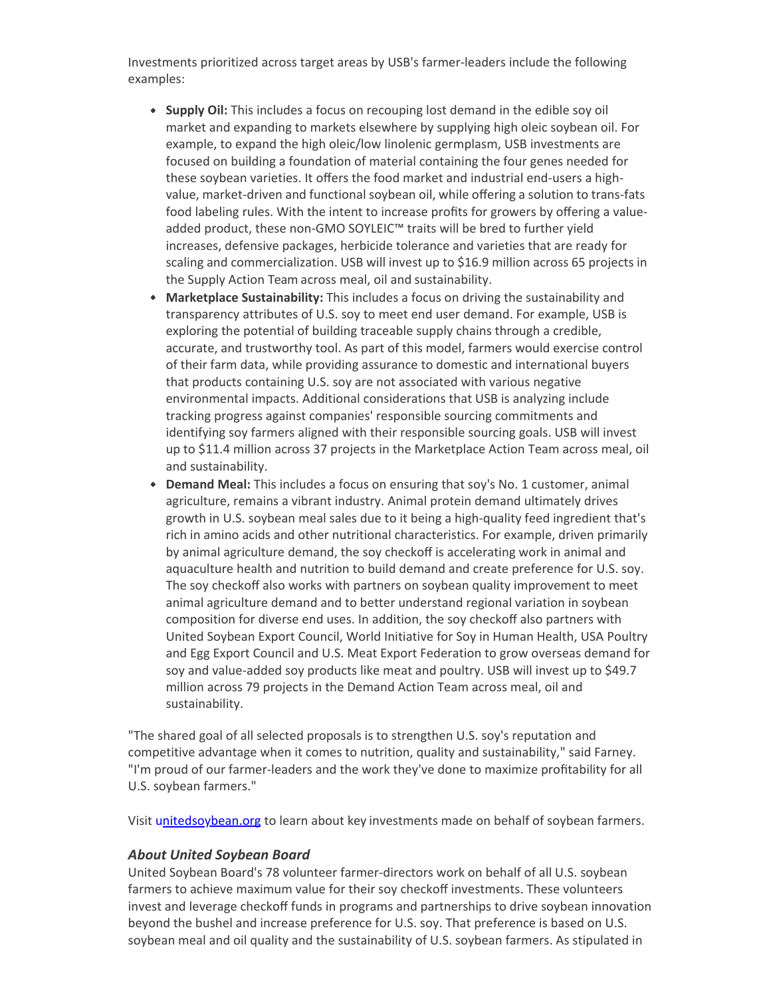Investments prioritized across target areas by USB's farmer‐leaders include the following examples:

- **Supply Oil:** This includes a focus on recouping lost demand in the edible soy oil market and expanding to markets elsewhere by supplying high oleic soybean oil. For example, to expand the high oleic/low linolenic germplasm, USB investments are focused on building a foundation of material containing the four genes needed for these soybean varieties. It offers the food market and industrial end‐users a high‐ value, market-driven and functional soybean oil, while offering a solution to trans-fats food labeling rules. With the intent to increase profits for growers by offering a value‐ added product, these non‐GMO SOYLEIC™ traits will be bred to further yield increases, defensive packages, herbicide tolerance and varieties that are ready for scaling and commercialization. USB will invest up to \$16.9 million across 65 projects in the Supply Action Team across meal, oil and sustainability.
- **Marketplace Sustainability:** This includes a focus on driving the sustainability and transparency attributes of U.S. soy to meet end user demand. For example, USB is exploring the potential of building traceable supply chains through a credible, accurate, and trustworthy tool. As part of this model, farmers would exercise control of their farm data, while providing assurance to domestic and international buyers that products containing U.S. soy are not associated with various negative environmental impacts. Additional considerations that USB is analyzing include tracking progress against companies' responsible sourcing commitments and identifying soy farmers aligned with their responsible sourcing goals. USB will invest up to \$11.4 million across 37 projects in the Marketplace Action Team across meal, oil and sustainability.
- **Demand Meal:** This includes a focus on ensuring that soy's No. 1 customer, animal agriculture, remains a vibrant industry. Animal protein demand ultimately drives growth in U.S. soybean meal sales due to it being a high-quality feed ingredient that's rich in amino acids and other nutritional characteristics. For example, driven primarily by animal agriculture demand, the soy checkoff is accelerating work in animal and aquaculture health and nutrition to build demand and create preference for U.S. soy. The soy checkoff also works with partners on soybean quality improvement to meet animal agriculture demand and to better understand regional variation in soybean composition for diverse end uses. In addition, the soy checkoff also partners with United Soybean Export Council, World Initiative for Soy in Human Health, USA Poultry and Egg Export Council and U.S. Meat Export Federation to grow overseas demand for soy and value‐added soy products like meat and poultry. USB will invest up to \$49.7 million across 79 projects in the Demand Action Team across meal, oil and sustainability.

"The shared goal of all selected proposals is to strengthen U.S. soy's reputation and competitive advantage when it comes to nutrition, quality and sustainability," said Farney. "I'm proud of our farmer‐leaders and the work they've done to maximize profitability for all U.S. soybean farmers."

Visit unitedsoybean.org to learn about key investments made on behalf of soybean farmers.

## *About United Soybean Board*

United Soybean Board's 78 volunteer farmer‐directors work on behalf of all U.S. soybean farmers to achieve maximum value for their soy checkoff investments. These volunteers invest and leverage checkoff funds in programs and partnerships to drive soybean innovation beyond the bushel and increase preference for U.S. soy. That preference is based on U.S. soybean meal and oil quality and the sustainability of U.S. soybean farmers. As stipulated in